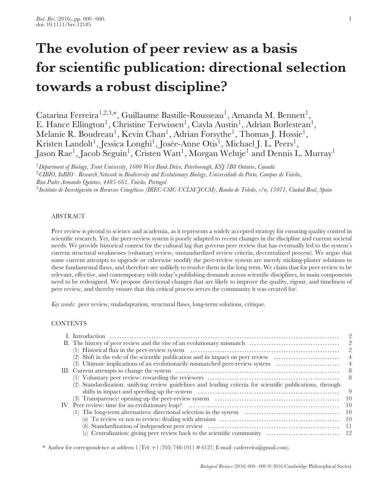# **The evolution of peer review as a basis for scientific publication: directional selection towards a robust discipline?**

Catarina Ferreira<sup>1,2,3,\*</sup>, Guillaume Bastille-Rousseau<sup>1</sup>, Amanda M. Bennett<sup>1</sup>, E. Hance Ellington<sup>1</sup>, Christine Terwissen<sup>1</sup>, Cayla Austin<sup>1</sup>, Adrian Borlestean<sup>1</sup>, Melanie R. Boudreau<sup>1</sup>, Kevin Chan<sup>1</sup>, Adrian Forsythe<sup>1</sup>, Thomas J. Hossie<sup>1</sup>, Kristen Landolt<sup>1</sup>, Jessica Longhi<sup>1</sup>, Josée-Anne Otis<sup>1</sup>, Michael J. L. Peers<sup>1</sup>, Jason Rae<sup>1</sup>, Jacob Seguin<sup>1</sup>, Cristen Watt<sup>1</sup>, Morgan Wehtje<sup>1</sup> and Dennis L. Murray<sup>1</sup>

<sup>1</sup>*Department of Biology, Trent University, 1600 West Bank Drive, Peterborough, K9J 7B8 Ontario, Canada* <sup>2</sup>*CIBIO, InBIO - Research Network in Biodiversity and Evolutionary Biology, Universidade do Porto, Campus de Vair˜ao, Rua Padre Armando Quintas, 4485-661, Vair˜ao, Portugal* <sup>3</sup> Instituto de Investigación en Recursos Cinegéticos (IREC-CSIC-UCLM-JCCM), Ronda de Toledo, s/n, 13071, Ciudad Real, Spain

# ABSTRACT

Peer review is pivotal to science and academia, as it represents a widely accepted strategy for ensuring quality control in scientific research. Yet, the peer-review system is poorly adapted to recent changes in the discipline and current societal needs. We provide historical context for the cultural lag that governs peer review that has eventually led to the system's current structural weaknesses (voluntary review, unstandardized review criteria, decentralized process). We argue that some current attempts to upgrade or otherwise modify the peer-review system are merely sticking-plaster solutions to these fundamental flaws, and therefore are unlikely to resolve them in the long term. We claim that for peer review to be relevant, effective, and contemporary with today's publishing demands across scientific disciplines, its main components need to be redesigned. We propose directional changes that are likely to improve the quality, rigour, and timeliness of peer review, and thereby ensure that this critical process serves the community it was created for.

*Key words*: peer review, maladaptation, structural flaws, long-term solutions, critique.

## **CONTENTS**

|                                                                                                                         | $\overline{2}$ |
|-------------------------------------------------------------------------------------------------------------------------|----------------|
|                                                                                                                         |                |
| (2) Shift in the role of the scientific publication and its impact on peer review                                       | $\overline{4}$ |
| (3) Ultimate implications of an evolutionarily mismatched peer-review system                                            | $\overline{A}$ |
|                                                                                                                         | ε              |
|                                                                                                                         | 8              |
| (2) Standardization: unifying review guidelines and leading criteria for scientific publications, through               |                |
|                                                                                                                         | ç              |
|                                                                                                                         | -10            |
|                                                                                                                         | -10            |
|                                                                                                                         | - 10           |
|                                                                                                                         | $\frac{1}{2}$  |
|                                                                                                                         | - 11           |
| (c) Centralization: giving peer review back to the scientific community $\dots\dots\dots\dots\dots\dots\dots\dots\dots$ | - 12           |

\* Author for correspondence at address 1 (Tel:  $+1$  (705) 748-1011 # 6127; E-mail: catferreira@gmail.com).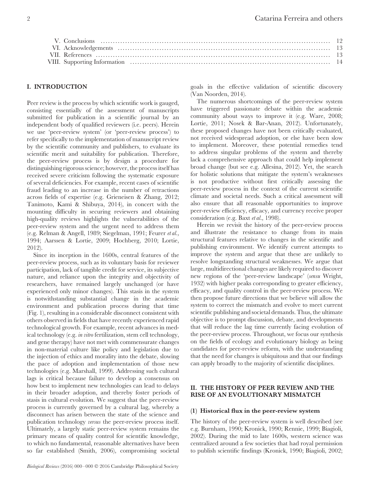# **I. INTRODUCTION**

Peer review is the process by which scientific work is gauged, consisting essentially of the assessment of manuscripts submitted for publication in a scientific journal by an independent body of qualified reviewers (i.e. peers). Herein we use 'peer-review system' (or 'peer-review process') to refer specifically to the implementation of manuscript review by the scientific community and publishers, to evaluate its scientific merit and suitability for publication. Therefore, the peer-review process is by design a procedure for distinguishing rigorous science; however, the process itself has received severe criticism following the systematic exposure of several deficiencies. For example, recent cases of scientific fraud leading to an increase in the number of retractions across fields of expertise (e.g. Grieneisen & Zhang, 2012; Tanimoto, Kami & Shibuya, 2014), in concert with the mounting difficulty in securing reviewers and obtaining high-quality reviews highlights the vulnerabilities of the peer-review system and the urgent need to address them (e.g. Relman & Angell, 1989; Siegelman, 1991; Feurer *et al.,* 1994; Aarssen & Lortie, 2009; Hochberg, 2010; Lortie, 2012).

Since its inception in the 1600s, central features of the peer-review process, such as its voluntary basis for reviewer participation, lack of tangible credit for service, its subjective nature, and reliance upon the integrity and objectivity of researchers, have remained largely unchanged (or have experienced only minor changes). This stasis in the system is notwithstanding substantial change in the academic environment and publication process during that time (Fig. 1), resulting in a considerable disconnect consistent with others observed in fields that have recently experienced rapid technological growth. For example, recent advances in medical technology (e.g. *in vitro* fertilization, stem cell technology, and gene therapy) have not met with commensurate changes in non-material culture like policy and legislation due to the injection of ethics and morality into the debate, slowing the pace of adoption and implementation of those new technologies (e.g. Marshall, 1999). Addressing such cultural lags is critical because failure to develop a consensus on how best to implement new technologies can lead to delays in their broader adoption, and thereby foster periods of stasis in cultural evolution. We suggest that the peer-review process is currently governed by a cultural lag, whereby a disconnect has arisen between the state of the science and publication technology *versus* the peer-review process itself. Ultimately, a largely static peer-review system remains the primary means of quality control for scientific knowledge, to which no fundamental, reasonable alternatives have been so far established (Smith, 2006), compromising societal

goals in the effective validation of scientific discovery (Van Noorden, 2014).

The numerous shortcomings of the peer-review system have triggered passionate debate within the academic community about ways to improve it (e.g. Ware, 2008; Lortie, 2011; Nosek & Bar-Anan, 2012). Unfortunately, these proposed changes have not been critically evaluated, not received widespread adoption, or else have been slow to implement. Moreover, these potential remedies tend to address singular problems of the system and thereby lack a comprehensive approach that could help implement broad change (but see e.g. Allesina, 2012). Yet, the search for holistic solutions that mitigate the system's weaknesses is not productive without first critically assessing the peer-review process in the context of the current scientific climate and societal needs. Such a critical assessment will also ensure that all reasonable opportunities to improve peer-review efficiency, efficacy, and currency receive proper consideration (e.g. Baxt *et al.,* 1998).

Herein we revisit the history of the peer-review process and illustrate the resistance to change from its main structural features relative to changes in the scientific and publishing environment. We identify current attempts to improve the system and argue that these are unlikely to resolve longstanding structural weaknesses. We argue that large, multidirectional changes are likely required to discover new regions of the 'peer-review landscape' (*sensu* Wright, 1932) with higher peaks corresponding to greater efficiency, efficacy, and quality control in the peer-review process. We then propose future directions that we believe will allow the system to correct the mismatch and evolve to meet current scientific publishing and societal demands. Thus, the ultimate objective is to prompt discussion, debate, and developments that will reduce the lag time currently facing evolution of the peer-review process. Throughout, we focus our synthesis on the fields of ecology and evolutionary biology as being candidates for peer-review reform, with the understanding that the need for changes is ubiquitous and that our findings can apply broadly to the majority of scientific disciplines.

#### **II. THE HISTORY OF PEER REVIEW AND THE RISE OF AN EVOLUTIONARY MISMATCH**

#### **(1) Historical flux in the peer-review system**

The history of the peer-review system is well described (see e.g. Burnham, 1990; Kronick, 1990; Rennie, 1999; Biagioli, 2002). During the mid to late 1600s, western science was centralized around a few societies that had royal permission to publish scientific findings (Kronick, 1990; Biagioli, 2002;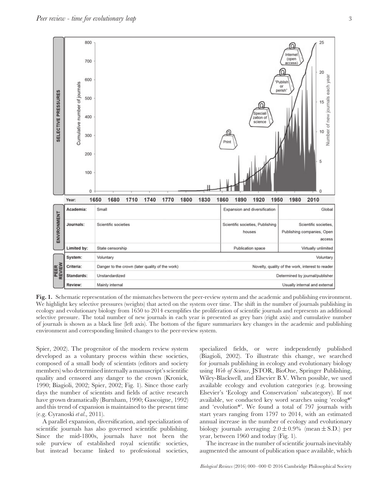

**Fig. 1.** Schematic representation of the mismatches between the peer-review system and the academic and publishing environment. We highlight key selective pressures (weights) that acted on the system over time. The shift in the number of journals publishing in ecology and evolutionary biology from 1650 to 2014 exemplifies the proliferation of scientific journals and represents an additional selective pressure. The total number of new journals in each year is presented as grey bars (right axis) and cumulative number of journals is shown as a black line (left axis). The bottom of the figure summarizes key changes in the academic and publishing environment and corresponding limited changes to the peer-review system.

Spier, 2002). The progenitor of the modern review system developed as a voluntary process within these societies, composed of a small body of scientists (editors and society members) who determined internally a manuscript's scientific quality and censored any danger to the crown (Kronick, 1990; Biagioli, 2002; Spier, 2002; Fig. 1). Since those early days the number of scientists and fields of active research have grown dramatically (Burnham, 1990; Gascoigne, 1992) and this trend of expansion is maintained to the present time (e.g. Cyranoski *et al.,* 2011).

A parallel expansion, diversification, and specialization of scientific journals has also governed scientific publishing. Since the mid-1800s, journals have not been the sole purview of established royal scientific societies, but instead became linked to professional societies,

specialized fields, or were independently published (Biagioli, 2002). To illustrate this change, we searched for journals publishing in ecology and evolutionary biology using *Web of Science*, JSTOR, BioOne, Springer Publishing, Wiley-Blackwell, and Elsevier B.V. When possible, we used available ecology and evolution categories (e.g. browsing Elsevier's 'Ecology and Conservation' subcategory). If not available, we conducted key word searches using 'ecolog\*' and 'evolution\*'. We found a total of 797 journals with start years ranging from 1797 to 2014, with an estimated annual increase in the number of ecology and evolutionary biology journals averaging  $2.0 \pm 0.9\%$  (mean  $\pm$  S.D.) per year, between 1960 and today (Fig. 1).

The increase in the number of scientific journals inevitably augmented the amount of publication space available, which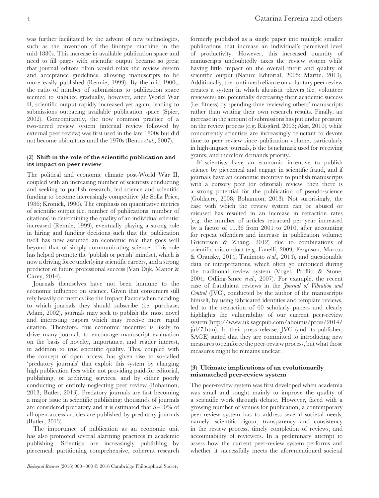was further facilitated by the advent of new technologies, such as the invention of the linotype machine in the mid-1880s. This increase in available publication space and need to fill pages with scientific output became so great that journal editors often would relax the review system and acceptance guidelines, allowing manuscripts to be more easily published (Rennie, 1999). By the mid-1900s, the ratio of number of submissions to publication space seemed to stabilize gradually, however, after World War II, scientific output rapidly increased yet again, leading to submissions outpacing available publication space (Spier, 2002). Concomitantly, the now common practice of a two-tiered review system (internal review followed by external peer review) was first used in the late 1800s but did not become ubiquitous until the 1970s (Benos *et al.,* 2007).

#### **(2) Shift in the role of the scientific publication and its impact on peer review**

The political and economic climate post-World War II, coupled with an increasing number of scientists conducting and seeking to publish research, led science and scientific funding to become increasingly competitive (de Solla Price, 1986; Kronick, 1990). The emphasis on quantitative metrics of scientific output (i.e. number of publications, number of citations) in determining the quality of an individual scientist increased (Rennie, 1999), eventually playing a strong role in hiring and funding decisions such that the publication itself has now assumed an economic role that goes well beyond that of simply communicating science. This role has helped promote the 'publish or perish' mindset, which is now a driving force underlying scientific careers, and a strong predictor of future professional success (Van Dijk, Manor & Carey, 2014).

Journals themselves have not been immune to the economic influence on science. Given that consumers still rely heavily on metrics like the Impact Factor when deciding to which journals they should subscribe (i.e. purchase; Adam, 2002), journals may seek to publish the most novel and interesting papers which may receive more rapid citation. Therefore, this economic incentive is likely to drive many journals to encourage manuscript evaluation on the basis of novelty, importance, and reader interest, in addition to true scientific quality. This, coupled with the concept of open access, has given rise to so-called 'predatory journals' that exploit this system by charging high publication fees while not providing paid-for editorial, publishing, or archiving services, and by either poorly conducting or entirely neglecting peer review (Bohannon, 2013; Butler, 2013). Predatory journals are fast becoming a major issue in scientific publishing: thousands of journals are considered predatory and it is estimated that 5–10% of all open access articles are published by predatory journals (Butler, 2013).

The importance of publication as an economic unit has also promoted several alarming practices in academic publishing. Scientists are increasingly publishing by piecemeal: partitioning comprehensive, coherent research formerly published as a single paper into multiple smaller publications that increase an individual's perceived level of productivity. However, this increased quantity of manuscripts undoubtedly taxes the review system while having little impact on the overall merit and quality of scientific output (Nature Editorial, 2005; Martin, 2013). Additionally, the continued reliance on voluntary peer review creates a system in which altruistic players (i.e. volunteer reviewers) are potentially decreasing their academic success (i.e. fitness) by spending time reviewing others' manuscripts rather than writing their own research results. Finally, an increase in the amount of submissions has put undue pressure on the review process (e.g. Riisgård, 2003; Akst, 2010), while concurrently scientists are increasingly reluctant to devote time to peer review since publication volume, particularly in high-impact journals, is the benchmark used for receiving grants, and therefore demands priority.

If scientists have an economic incentive to publish science by piecemeal and engage in scientific fraud, and if journals have an economic incentive to publish manuscripts with a cursory peer (or editorial) review, then there is a strong potential for the publication of pseudo-science (Goldacre, 2008; Bohannon, 2013). Not surprisingly, the ease with which the review system can be abused or misused has resulted in an increase in retraction rates (e.g. the number of articles retracted per year increased by a factor of 11.36 from 2001 to 2010, after accounting for repeat offenders and increase in publication volume; Grieneisen & Zhang, 2012) due to combinations of scientific misconduct (e.g. Fanelli, 2009; Ferguson, Marcus & Oransky, 2014; Tanimoto *et al.,* 2014), and questionable data or interpretations, which often go unnoticed during the traditional review system (Vogel, Proffitt & Stone, 2004; Odling-Smee *et al.,* 2007). For example, the recent case of fraudulent reviews in the *Journal of Vibration and Control* (JVC), conducted by the author of the manuscripts himself, by using fabricated identities and template reviews, led to the retraction of 60 scholarly papers and clearly highlights the vulnerability of our current peer-review system (http://www.uk.sagepub.com/aboutus/press/2014/ jul/7.htm). In their press release, JVC (and its publisher, SAGE) stated that they are committed to introducing new measures to reinforce the peer-review process, but what those measures might be remains unclear.

## **(3) Ultimate implications of an evolutionarily mismatched peer-review system**

The peer-review system was first developed when academia was small and sought mainly to improve the quality of a scientific work through debate. However, faced with a growing number of venues for publication, a contemporary peer-review system has to address several societal needs, namely: scientific rigour, transparency and consistency in the review process, timely completion of reviews, and accountability of reviewers. In a preliminary attempt to assess how the current peer-review system performs and whether it successfully meets the aforementioned societal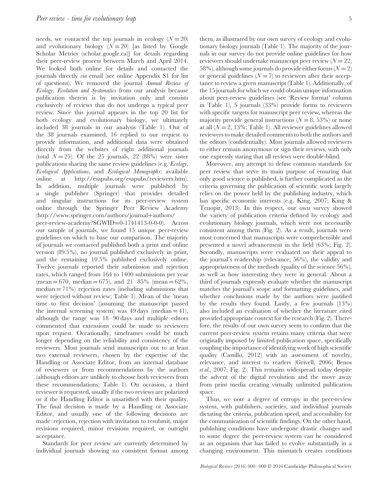needs, we contacted the top journals in ecology  $(N = 20)$ and evolutionary biology  $(N=20)$  [as listed by Google Scholar Metrics (scholar.google.ca)] for details regarding their peer-review process between March and April 2014. We looked both online for details and contacted the journals directly *via* email (see online Appendix S1 for list of questions). We removed the journal *Annual Review of Ecology, Evolution and Systematics* from our analysis because publication therein is by invitation only and consists exclusively of reviews that do not undergo a typical peer review. Since this journal appears in the top 20 list for both ecology and evolutionary biology, we ultimately included 38 journals in our analysis (Table 1). Out of the 38 journals examined, 16 replied to our request to provide information, and additional data were obtained directly from the websites of eight additional journals (total  $\mathcal{N} = 25$ ). Of the 25 journals, 22 (88%) were sister publications sharing the same review guidelines (e.g. *Ecology*, *Ecological Applications*, and *Ecological Monographs*: available online at http://esapubs.org/esapubs/reviewers.htm). In addition, multiple journals were published by a single publisher (Springer) that provides detailed and singular instructions for its peer-review system online through the Springer Peer Review Academy (http://www.springer.com/authors/journal+authors/ peer-review-academy?SGWID=0-1741413-0-0-0). Across our sample of journals, we found 15 unique peer-review guidelines on which to base our comparison. The majority of journals we contacted published both a print and online version (89.5%), no journal published exclusively in print, and the remaining 10.5% published exclusively online. Twelve journals reported their submission and rejection rates, which ranged from 164 to 1400 submissions per year  $(\text{mean} = 670, \text{ median} = 675), \text{ and } 21-85\%$  (mean = 62%,  $median = 71\%$  rejection rates (including submissions that were rejected without review; Table 1). Mean of the 'mean time to first decision' (assuming the manuscript passed the internal screening system) was  $49 \text{ days}$  (median  $= 41$ ), although the range was 18–90 days and multiple editors commented that extensions could be made to reviewers upon request. Occasionally, timeframes could be much longer depending on the reliability and consistency of the reviewers. Most journals send manuscripts out to at least two external reviewers, chosen by the expertise of the Handling or Associate Editor, from an internal database of reviewers or from recommendations by the authors (although editors are unlikely to choose both reviewers from these recommendations; Table 1). On occasion, a third reviewer is requested, usually if the two reviews are polarized or if the Handling Editor is unsatisfied with their quality. The final decision is made by a Handling or Associate Editor, and usually one of the following decisions are made: rejection, rejection with invitation to resubmit, major revisions required, minor revisions required, or outright acceptance.

Standards for peer review are currently determined by individual journals showing no consistent format among them, as illustrated by our own survey of ecology and evolutionary biology journals (Table 1). The majority of the journals in our survey do not provide online guidelines for how reviewers should undertake manuscript peer review (*N* = 22, 58%), although some journals do provide either forms  $(N = 2)$ or general guidelines  $(N = 7)$  to reviewers after their acceptance to review a given manuscript (Table 1). Additionally, of the 15 journals for which we could obtain unique information about peer-review guidelines (see 'Review format' column in Table 1), 5 journals (33%) provide forms to reviewers with specific targets for manuscript peer review, whereas the majority provide general instructions  $(N = 8, 53\%)$  or none at all  $(N = 2, 13\%;$  Table 1). All reviewer guidelines allowed reviewers to make detailed comments to both the authors and the editors (confidentially). Most journals allowed reviewers to either remain anonymous or sign their reviews, with only one expressly stating that all reviews were double-blind.

Moreover, any attempt to define common standards for peer review that serve its main purpose of ensuring that only good science is published, is further complicated as the criteria governing the publication of scientific work largely relies on the power held by the publishing industry, which has specific economic interests (e.g. King, 2007; King & Tenopir, 2013). In this respect, our own survey showed the variety of publication criteria defined by ecology and evolutionary biology journals, which were not necessarily consistent among them (Fig. 2). As a result, journals were most concerned that manuscripts were comprehensible and presented a novel advancement in the field (63%; Fig. 2). Secondly, manuscripts were evaluated on their appeal to the journal's readership (relevance; 56%), the validity and appropriateness of the methods (quality of the science 56%), as well as how interesting they were in general. About a third of journals expressly evaluate whether the manuscript matches the journal's scope and formatting guidelines, and whether conclusions made by the authors were justified by the results they found. Lastly, a few journals (13%) also included an evaluation of whether the literature cited provided appropriate context for the research (Fig. 2). Therefore, the results of our own survey seem to confirm that the current peer-review system retains many criteria that were originally imposed by limited publication space, specifically coupling the importance of identifying work of high scientific quality (Castillo, 2012) with an assessment of novelty, relevance, and interest to readers (Grivell, 2006; Benos *et al.,* 2007; Fig. 2). This remains widespread today despite the advent of the digital revolution and the move away from print media creating virtually unlimited publication space.

Thus, we note a degree of entropy in the peer-review system, with publishers, societies, and individual journals dictating the criteria, publication speed, and accessibility for the communication of scientific findings. On the other hand, publishing conditions have undergone drastic changes and to some degree the peer-review system can be considered as an organism that has failed to evolve substantially in a changing environment. This mismatch creates conditions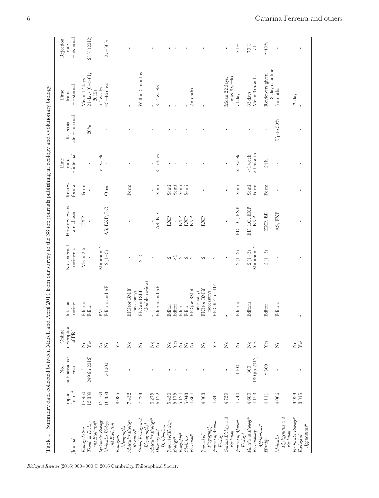| Table 1.                                                                                                |                               | Summary data collected between March and |                                                       | April 2014 from our survey to the 38 top journals publishing in ecology and evolutionary biology |                                                                                                                                                                                                                                                                                                                                                                                            |                             |                                     |                              |                                |                                        |                                 |
|---------------------------------------------------------------------------------------------------------|-------------------------------|------------------------------------------|-------------------------------------------------------|--------------------------------------------------------------------------------------------------|--------------------------------------------------------------------------------------------------------------------------------------------------------------------------------------------------------------------------------------------------------------------------------------------------------------------------------------------------------------------------------------------|-----------------------------|-------------------------------------|------------------------------|--------------------------------|----------------------------------------|---------------------------------|
| Journal                                                                                                 | factor <sup>a</sup><br>Impact | submissions/<br>year<br>Σó.              | description<br>Online<br>of PR?                       | Internal<br>review                                                                               | No. external<br>reviewers                                                                                                                                                                                                                                                                                                                                                                  | How reviewers<br>are chosen | Review<br>format                    | internal<br>frame<br>Time    | $rate - internal$<br>Rejection | external<br>frame<br>Time              | - external<br>Rejection<br>rate |
| Trends in Ecology<br>Ecology Letters                                                                    | 17.950<br>15.389              | 249 (in 2012)<br>م                       | 2 gs                                                  | Editors<br>Editor                                                                                | Mean 2.6                                                                                                                                                                                                                                                                                                                                                                                   | EXP                         | Form                                |                              | 26%                            | 21 days ( $0 - > 81$ ;<br>Mean 42 days | 21% (2012)                      |
| Systematic Biology<br>Molecular Biology<br>and Evolution*                                               | 12.169<br>10.353              | $>1000$                                  | $\tilde{Z}^{\circ}$<br>$\stackrel{\circ}{\mathbf{Z}}$ | Editors and AE<br>BМ                                                                             | Minimum <sub>2</sub><br>$2\ (1-3)$                                                                                                                                                                                                                                                                                                                                                         | AS, EXP, LC                 | Open<br>$\mathbf{r}$                | <1week                       |                                | $43 - 46$ days<br><4weeks<br>2012)     | $27 - 30\%$                     |
| and Evolution<br>Ecological                                                                             | 8.085                         |                                          | Yes                                                   |                                                                                                  |                                                                                                                                                                                                                                                                                                                                                                                            |                             | ı                                   |                              |                                |                                        |                                 |
| Molecular Ecology<br>Monographs                                                                         | 7.432                         |                                          | $\mathcal{S}^{\circ}$                                 | EIC (or BM if                                                                                    |                                                                                                                                                                                                                                                                                                                                                                                            |                             | Form                                |                              |                                |                                        |                                 |
| Global Ecology and<br>Biogeography*<br>$Resoures*$                                                      | 7.223                         |                                          | $\stackrel{\circ}{\simeq}$                            | (double review)<br>EIC and SbE<br>necessary)                                                     | $2 - 3$                                                                                                                                                                                                                                                                                                                                                                                    |                             | ı                                   |                              |                                | Within 3 months                        |                                 |
| Molecular Ecology*<br>Diversity and                                                                     | 6.275<br>6.122                |                                          | 2g                                                    | Editors and AE                                                                                   |                                                                                                                                                                                                                                                                                                                                                                                            | AS, ED                      | Semi                                | $3 - 5$ days                 |                                | $3 - 4$ weeks                          |                                 |
| Journal of Ecology<br>Distributions                                                                     | 5.430                         |                                          | $\rm \stackrel{\circ}{\rm \stackrel{>}{\rm \sim}}$    | Editor                                                                                           |                                                                                                                                                                                                                                                                                                                                                                                            | EXP                         | Semi                                |                              |                                |                                        |                                 |
| Ecology*                                                                                                | 5.175                         |                                          | Yes                                                   | Editor                                                                                           |                                                                                                                                                                                                                                                                                                                                                                                            |                             | Semi                                |                              |                                |                                        |                                 |
| Ecography*                                                                                              | 5.124                         |                                          | $\stackrel{\circ}{\phantom{}_{\sim}}$                 | Editor                                                                                           |                                                                                                                                                                                                                                                                                                                                                                                            | EXP                         | Semi                                |                              |                                |                                        |                                 |
| Cladistics                                                                                              | 5.043                         |                                          | $\stackrel{\circ}{\phantom{}_{\sim}}\!\!\!z$          | Editor                                                                                           | $\begin{array}{c} \mathop{\sim}\limits^{\curvearrowright} \mathop{\sim}\limits^{\curvearrowright} \mathop{\sim}\limits^{\curvearrowright} \mathop{\sim}\limits^{\curvearrowright} \mathop{\sim}\limits^{\curvearrowright} \mathop{\sim}\limits^{\curvearrowright} \mathop{\sim}\limits^{\curvearrowright} \mathop{\sim}\limits^{\curvearrowright} \mathop{\sim}\limits^{\curvearrowright}$ | EXP                         | Semi                                |                              |                                |                                        |                                 |
| Evolution*                                                                                              | 4.864                         |                                          |                                                       | EIC (or BM if                                                                                    |                                                                                                                                                                                                                                                                                                                                                                                            | EXP                         |                                     |                              |                                | 2 months                               |                                 |
| Biogeography<br>Journal of                                                                              | 4.863                         |                                          | $\mathsf{S}^{\mathsf{o}}$                             | EIC (or BM if<br>necessary)<br>necessary)                                                        | 2                                                                                                                                                                                                                                                                                                                                                                                          | EXP                         |                                     |                              |                                |                                        |                                 |
| Journal of Animal                                                                                       | 4.841                         |                                          | Yes                                                   | EIC, RE, or DE                                                                                   | $\sim$                                                                                                                                                                                                                                                                                                                                                                                     |                             |                                     |                              |                                |                                        |                                 |
| Genome Biology and<br>Evolution<br>Ecology                                                              | 4.759                         |                                          | $\stackrel{\circ}{\mathbf{Z}}$                        |                                                                                                  |                                                                                                                                                                                                                                                                                                                                                                                            |                             |                                     |                              |                                | max 8 weeks<br>Mean 22 days,           |                                 |
| Journal of Applied                                                                                      | 4.740                         | 1400                                     | $\stackrel{\circ}{\mathbf{Z}}$                        | Editors                                                                                          | $2\ (1-3)$                                                                                                                                                                                                                                                                                                                                                                                 | ED, LC, EXP                 | Semi                                | $< 1$ week                   |                                | 71 days                                | 74%                             |
| Functional Ecology*<br>Evolutionary<br>$E\mathit{colog}^*$                                              | 4.680<br>4.153                | 180 (in 2013)<br>800                     | $\mathcal{L}^{\circ}$<br>Yes                          | Editors                                                                                          | Minimum <sub>2</sub><br>$2(1-3)$                                                                                                                                                                                                                                                                                                                                                           | ED, LC, EXP<br>EXP          | Semi<br>Form                        | $\leq$ l month<br>$< 1$ week |                                | Mean 3 months<br>83 days               | $79%$<br>$71$                   |
| Applications*<br>Heredity                                                                               | 4.111                         | $\sim\!500$                              | Yes                                                   | Editor                                                                                           | $2\ (1\!-\!3)$                                                                                                                                                                                                                                                                                                                                                                             | EXP, ED                     | $\ensuremath{\mathrm{Form}}\xspace$ | 24h                          |                                | Reviewers given                        | $\sim40\%$                      |
| Phylogenetics and<br>Molecular                                                                          | 4.066                         |                                          | $\mathsf{S}^{\mathsf{o}}$                             | Editors                                                                                          |                                                                                                                                                                                                                                                                                                                                                                                            | AS, EXP                     |                                     |                              | Up to $50\%$                   | 18-day deadline<br>3 months            |                                 |
| Freshwater Biology*<br>$\label{prop:applic} Appendix$<br>$\label{eq:evolution} Evolution$<br>Ecological | 3.815<br>3.933                | ı.                                       | <b>Pes</b>                                            |                                                                                                  |                                                                                                                                                                                                                                                                                                                                                                                            |                             |                                     |                              |                                | 29 days                                |                                 |

collected between March and April 9014 from m, data ş  $\frac{1}{2}$ Table 1.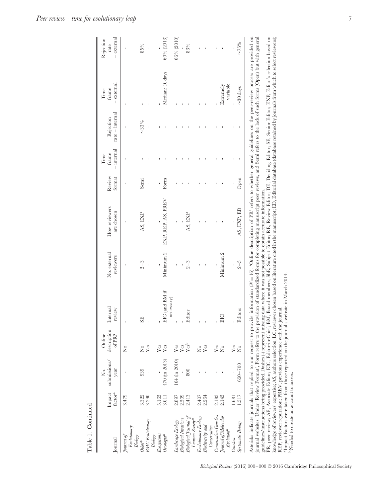| Journal                                                                                                                | Impact<br>$\operatorname{factor}^{\operatorname{a}}$ | submissions/<br>year<br>Ź. | description<br>Online<br>of PR?      | nternal<br>review                                                                                            | No. external<br>reviewers | How reviewers<br>are chosen                                                                                                                                                                                                                                                                                                                                                                                                                                                                                                                                                                                                                                                                                                                                                                                                                                                                                                                                                     | Review<br>format | internal<br>frame<br>Time | $rate - internal$<br>Rejection | external<br>frame<br>Time | $-$ external<br>Rejection<br>rate |
|------------------------------------------------------------------------------------------------------------------------|------------------------------------------------------|----------------------------|--------------------------------------|--------------------------------------------------------------------------------------------------------------|---------------------------|---------------------------------------------------------------------------------------------------------------------------------------------------------------------------------------------------------------------------------------------------------------------------------------------------------------------------------------------------------------------------------------------------------------------------------------------------------------------------------------------------------------------------------------------------------------------------------------------------------------------------------------------------------------------------------------------------------------------------------------------------------------------------------------------------------------------------------------------------------------------------------------------------------------------------------------------------------------------------------|------------------|---------------------------|--------------------------------|---------------------------|-----------------------------------|
| Evolutionary<br>Journal of                                                                                             | 3.479                                                |                            | ż                                    |                                                                                                              |                           |                                                                                                                                                                                                                                                                                                                                                                                                                                                                                                                                                                                                                                                                                                                                                                                                                                                                                                                                                                                 |                  |                           |                                |                           |                                   |
| $\it{Biology}$<br>Oikos*                                                                                               | 3.322                                                | 939                        | $\overline{\mathsf{X}}^{\mathsf{o}}$ | SE <sub></sub>                                                                                               | $2 - 3$                   | AS, EXP                                                                                                                                                                                                                                                                                                                                                                                                                                                                                                                                                                                                                                                                                                                                                                                                                                                                                                                                                                         | Semi             |                           | $\sim$ 33%                     |                           | 85%                               |
| <b>BMC</b> Evolutionary<br>${\it Biology}$                                                                             | 3.290                                                |                            | Yes                                  |                                                                                                              |                           |                                                                                                                                                                                                                                                                                                                                                                                                                                                                                                                                                                                                                                                                                                                                                                                                                                                                                                                                                                                 |                  |                           |                                |                           |                                   |
| Ecogystems                                                                                                             | 3.165                                                |                            | Yes                                  |                                                                                                              |                           |                                                                                                                                                                                                                                                                                                                                                                                                                                                                                                                                                                                                                                                                                                                                                                                                                                                                                                                                                                                 |                  |                           |                                |                           |                                   |
| Oecologia*                                                                                                             | 3.011                                                | 470 (in 2013)              | Yes                                  | $\exists$ IC (and BM if                                                                                      | Minimum <sub>2</sub>      | EXP, REP, AS, PREV                                                                                                                                                                                                                                                                                                                                                                                                                                                                                                                                                                                                                                                                                                                                                                                                                                                                                                                                                              | Form             |                           |                                | Median: 40 days           | 60% (2013)                        |
| Landscape Ecology                                                                                                      | 2.897                                                | 164 (in 2010)              | Yes                                  | necessary)                                                                                                   |                           |                                                                                                                                                                                                                                                                                                                                                                                                                                                                                                                                                                                                                                                                                                                                                                                                                                                                                                                                                                                 |                  |                           |                                |                           | 66% (2010)                        |
| <b>Biological Invasions</b>                                                                                            | 2.509                                                |                            | Yes                                  |                                                                                                              |                           |                                                                                                                                                                                                                                                                                                                                                                                                                                                                                                                                                                                                                                                                                                                                                                                                                                                                                                                                                                                 |                  |                           |                                |                           |                                   |
| Biological Journal of                                                                                                  | 2.413                                                | 800                        | Yes <sup>b</sup>                     | Editor                                                                                                       | $2 - 3$                   | AS, EXP                                                                                                                                                                                                                                                                                                                                                                                                                                                                                                                                                                                                                                                                                                                                                                                                                                                                                                                                                                         |                  |                           |                                |                           | 83%                               |
| Linnean Society*                                                                                                       |                                                      |                            |                                      |                                                                                                              |                           |                                                                                                                                                                                                                                                                                                                                                                                                                                                                                                                                                                                                                                                                                                                                                                                                                                                                                                                                                                                 |                  |                           |                                |                           |                                   |
| Evolutionary Ecology                                                                                                   | 2.407                                                |                            | å                                    |                                                                                                              |                           |                                                                                                                                                                                                                                                                                                                                                                                                                                                                                                                                                                                                                                                                                                                                                                                                                                                                                                                                                                                 |                  |                           |                                |                           |                                   |
| Biodiversity and                                                                                                       | 2.264                                                |                            | Yes                                  |                                                                                                              |                           |                                                                                                                                                                                                                                                                                                                                                                                                                                                                                                                                                                                                                                                                                                                                                                                                                                                                                                                                                                                 |                  |                           |                                |                           |                                   |
| Conservation                                                                                                           |                                                      |                            |                                      |                                                                                                              |                           |                                                                                                                                                                                                                                                                                                                                                                                                                                                                                                                                                                                                                                                                                                                                                                                                                                                                                                                                                                                 |                  |                           |                                |                           |                                   |
| Conservation Genetics                                                                                                  | 2.183                                                |                            | Yes                                  |                                                                                                              |                           |                                                                                                                                                                                                                                                                                                                                                                                                                                                                                                                                                                                                                                                                                                                                                                                                                                                                                                                                                                                 |                  |                           |                                |                           |                                   |
| Journal of Molecular<br>$E$ volution*                                                                                  | 2.145                                                |                            | $\mathsf{S}^{\mathsf{o}}$            | <b>DI</b> E                                                                                                  | Minimum <sub>2</sub>      |                                                                                                                                                                                                                                                                                                                                                                                                                                                                                                                                                                                                                                                                                                                                                                                                                                                                                                                                                                                 |                  |                           |                                | variable<br>Extremely     |                                   |
| Genetica                                                                                                               | 1.681                                                |                            | Yes                                  |                                                                                                              |                           |                                                                                                                                                                                                                                                                                                                                                                                                                                                                                                                                                                                                                                                                                                                                                                                                                                                                                                                                                                                 |                  |                           |                                |                           |                                   |
| Systematic Botany                                                                                                      | 1.517                                                | $650 - 700$                | $\tilde{\mathbf{z}}$                 | Editors                                                                                                      | $2-3$                     | AS, EXP, ED                                                                                                                                                                                                                                                                                                                                                                                                                                                                                                                                                                                                                                                                                                                                                                                                                                                                                                                                                                     | Open             |                           |                                | $\sim$ 30 days            | $~15\%$                           |
| REP, reviewer reputation; PREV, previous experience with the jo<br><sup>b</sup> Needed to create an account to access. |                                                      |                            |                                      | <sup>a</sup> Impact Factors were taken from those reported on the journal's website in March 2014.<br>ournal |                           | PR, peer review; AE, Associate Editor; EIC, Editor-in-Chief; BM, Board members; SbE, Subject Editor; RE, Review Editor; DE, Deciding Editor; SE, Senior Editor; EXP, Editor's selection based on<br>knowledge of reviewers' expertise; AS, authors selection; LC, reviewer chosen based on literature cited in the manuscript; ED, Editorial database (database retained by journals from which to select reviewers);<br>Asterisks indicate journals that replied to our request to provide information $(N = 16)$ . 'Online description of PR' refers to whether general guidelines on the peer-review process are provided on<br>journal websites. Under 'Review Format', Form refers to the provision of standardized forms for completing manuscript peer reviews, and Semi refers to the lack of such forms (Open) but with general<br>guidelines/instructions being provided. Dashes (-) represent missing data where it was not possible to obtain accurate information. |                  |                           |                                |                           |                                   |

*Peer review - time for evolutionary leap* 7

Table 1. Continued

*Biological Reviews* (2016) 000–000 © 2016 Cambridge Philosophical Society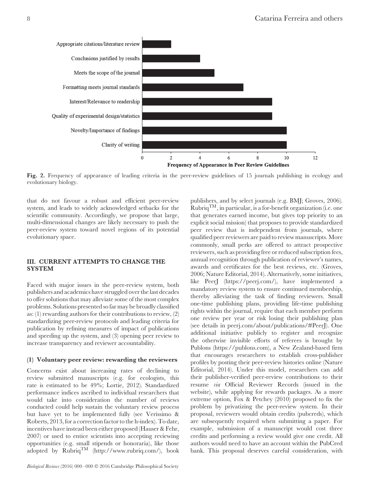

**Fig. 2.** Frequency of appearance of leading criteria in the peer-review guidelines of 15 journals publishing in ecology and evolutionary biology.

that do not favour a robust and efficient peer-review system, and leads to widely acknowledged setbacks for the scientific community. Accordingly, we propose that large, multi-dimensional changes are likely necessary to push the peer-review system toward novel regions of its potential evolutionary space.

# **III. CURRENT ATTEMPTS TO CHANGE THE SYSTEM**

Faced with major issues in the peer-review system, both publishers and academics have struggled over the last decades to offer solutions that may alleviate some of the most complex problems. Solutions presented so far may be broadly classified as: (1) rewarding authors for their contributions to review, (2) standardizing peer-review protocols and leading criteria for publication by refining measures of impact of publications and speeding up the system, and (3) opening peer review to increase transparency and reviewer accountability.

## **(1) Voluntary peer review: rewarding the reviewers**

Concerns exist about increasing rates of declining to review submitted manuscripts (e.g. for ecologists, this rate is estimated to be 49%; Lortie, 2012). Standardized performance indices ascribed to individual researchers that would take into consideration the number of reviews conducted could help sustain the voluntary review process but have yet to be implemented fully (see Veríssimo & Roberts, 2013, for a correction factor to the h-index). To date, incentives have instead been either proposed (Hauser & Fehr, 2007) or used to entice scientists into accepting reviewing opportunities (e.g. small stipends or honoraria), like those adopted by  $\text{Rubriq}^{\text{TM}}$  (http://www.rubriq.com/), book publishers, and by select journals (e.g. BMJ; Groves, 2006).  $Rubriq^{TM}$ , in particular, is a for-benefit organization (i.e. one that generates earned income, but gives top priority to an explicit social mission) that proposes to provide standardized peer review that is independent from journals, where qualified peer reviewers are paid to review manuscripts. More commonly, small perks are offered to attract prospective reviewers, such as providing free or reduced subscription fees, annual recognition through publication of reviewer's names, awards and certificates for the best reviews, etc. (Groves, 2006; Nature Editorial, 2014). Alternatively, some initiatives, like PeerJ (https://peerj.com/), have implemented a mandatory review system to ensure continued membership, thereby alleviating the task of finding reviewers. Small one-time publishing plans, providing life-time publishing rights within the journal, require that each member perform one review per year or risk losing their publishing plan (see details in peerj.com/about/publications/#PeerJ). One additional initiative publicly to register and recognize the otherwise invisible efforts of referees is brought by Publons (https://publons.com), a New Zealand-based firm that encourages researchers to establish cross-publisher profiles by posting their peer-review histories online (Nature Editorial, 2014). Under this model, researchers can add their publisher-verified peer-review contributions to their resume *via* Official Reviewer Records (issued in the website), while applying for rewards packages. As a more extreme option, Fox & Petchey (2010) proposed to fix the problem by privatizing the peer-review system. In their proposal, reviewers would obtain credits (pubcreds), which are subsequently required when submitting a paper. For example, submission of a manuscript would cost three credits and performing a review would give one credit. All authors would need to have an account within the PubCred bank. This proposal deserves careful consideration, with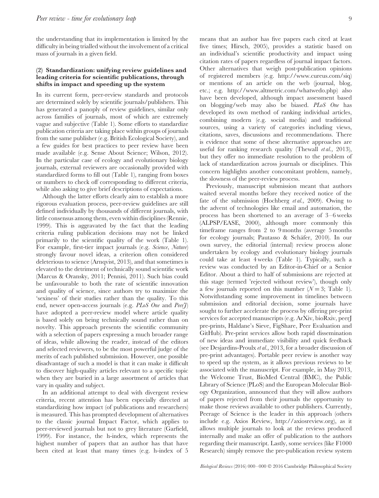the understanding that its implementation is limited by the difficulty in being trialled without the involvement of a critical mass of journals in a given field.

## **(2) Standardization: unifying review guidelines and leading criteria for scientific publications, through shifts in impact and speeding up the system**

In its current form, peer-review standards and protocols are determined solely by scientific journals/publishers. This has generated a panoply of review guidelines, similar only across families of journals, most of which are extremely vague and subjective (Table 1). Some efforts to standardize publication criteria are taking place within groups of journals from the same publisher (e.g. British Ecological Society), and a few guides for best practices to peer review have been made available (e.g. Sense About Science; Wilson, 2012). In the particular case of ecology and evolutionary biology journals, external reviewers are occasionally provided with standardized forms to fill out (Table 1), ranging from boxes or numbers to check off corresponding to different criteria, while also asking to give brief descriptions of expectations.

Although the latter efforts clearly aim to establish a more rigorous evaluation process, peer-review guidelines are still defined individually by thousands of different journals, with little consensus among them, even within disciplines (Rennie, 1999). This is aggravated by the fact that the leading criteria ruling publication decisions may not be linked primarily to the scientific quality of the work (Table 1). For example, first-tier impact journals (e.g. *Science*, *Nature*) strongly favour novel ideas, a criterion often considered deleterious to science (Arnqvist, 2013), and that sometimes is elevated to the detriment of technically sound scientific work (Marcus & Oransky, 2011; Pennisi, 2011). Such bias could be unfavourable to both the rate of scientific innovation and quality of science, since authors try to maximize the 'sexiness' of their studies rather than the quality. To this end, newer open-access journals (e.g. *PLoS One* and *Peerf*) have adopted a peer-review model where article quality is based solely on being technically sound rather than on novelty. This approach presents the scientific community with a selection of papers expressing a much broader range of ideas, while allowing the reader, instead of the editors and selected reviewers, to be the most powerful judge of the merits of each published submission. However, one possible disadvantage of such a model is that it can make it difficult to discover high-quality articles relevant to a specific topic when they are buried in a large assortment of articles that vary in quality and subject.

In an additional attempt to deal with divergent review criteria, recent attention has been especially directed at standardizing how impact (of publications and researchers) is measured. This has prompted development of alternatives to the classic journal Impact Factor, which applies to peer-reviewed journals but not to grey literature (Garfield, 1999). For instance, the h-index, which represents the highest number of papers that an author has that have been cited at least that many times (e.g. h-index of 5 means that an author has five papers each cited at least five times; Hirsch, 2005), provides a statistic based on an individual's scientific productivity and impact using citation rates of papers regardless of journal impact factors. Other alternatives that weigh post-publication opinions of registered members (e.g. http://www.cureus.com/siq) or mentions of an article on the web (journal, blog, etc.; e.g. http://www.altmetric.com/whatwedo.php) also have been developed, although impact assessment based on blogging/web may also be biased. *PLoS One* has developed its own method of ranking individual articles, combining modern (e.g. social media) and traditional sources, using a variety of categories including views, citations, saves, discussions and recommendations. There is evidence that some of these alternative approaches are useful for ranking research quality (Thewall *et al.,* 2013), but they offer no immediate resolution to the problem of lack of standardization across journals or disciplines. This concern highlights another concomitant problem, namely, the slowness of the peer-review process.

Previously, manuscript submission meant that authors waited several months before they received notice of the fate of the submission (Hochberg *et al.,* 2009). Owing to the advent of technologies like email and automation, the process has been shortened to an average of 3–6 weeks (ALPSP/EASE, 2000), although more commonly this timeframe ranges from 2 to 9 months (average 5 months for ecology journals; Pautasso & Schäfer, 2010). In our own survey, the editorial (internal) review process alone undertaken by ecology and evolutionary biology journals could take at least 4 weeks (Table 1). Typically, such a review was conducted by an Editor-in-Chief or a Senior Editor. About a third to half of submissions are rejected at this stage (termed 'rejected without review'), though only a few journals reported on this number  $(N = 3;$  Table 1). Notwithstanding some improvement in timelines between submission and editorial decision, some journals have sought to further accelerate the process by offering pre-print services for accepted manuscripts (e.g. ArXiv, bioRxiv, peerJ pre-prints, Haldane's Sieve, FigShare, Peer Evaluation and GitHub). Pre-print services allow both rapid dissemination of new ideas and immediate visibility and quick feedback (see Desjardins-Proulx *et al.,* 2013, for a broader discussion of pre-print advantages). Portable peer review is another way to speed up the system, as it allows previous reviews to be associated with the manuscript. For example, in May 2013, the Welcome Trust, BioMed Central (BMC), the Public Library of Science (PLoS) and the European Molecular Biology Organization, announced that they will allow authors of papers rejected from their journals the opportunity to make those reviews available to other publishers. Currently, Peerage of Science is the leader in this approach (others include e.g. Axios Review, http://axiosreview.org), as it allows multiple journals to look at the reviews produced internally and make an offer of publication to the authors regarding their manuscript. Lastly, some services (like F1000 Research) simply remove the pre-publication review system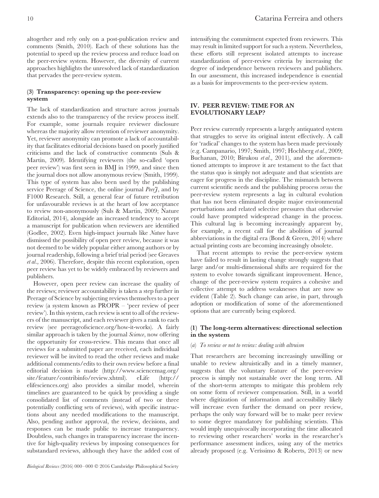altogether and rely only on a post-publication review and comments (Smith, 2010). Each of these solutions has the potential to speed up the review process and reduce load on the peer-review system. However, the diversity of current approaches highlights the unresolved lack of standardization that pervades the peer-review system.

# **(3) Transparency: opening up the peer-review system**

The lack of standardization and structure across journals extends also to the transparency of the review process itself. For example, some journals require reviewer disclosure whereas the majority allow retention of reviewer anonymity. Yet, reviewer anonymity can promote a lack of accountability that facilitates editorial decisions based on poorly justified criticisms and the lack of constructive comments (Suls & Martin, 2009). Identifying reviewers (the so-called 'open peer review') was first seen in BMJ in 1999, and since then the journal does not allow anonymous review (Smith, 1999). This type of system has also been used by the publishing service Peerage of Science, the online journal *PeerJ*, and by F1000 Research. Still, a general fear of future retribution for unfavourable reviews is at the heart of low acceptance to review non-anonymously (Suls & Martin, 2009; Nature Editorial, 2014), alongside an increased tendency to accept a manuscript for publication when reviewers are identified (Godlee, 2002). Even high-impact journals like *Nature* have dismissed the possibility of open peer review, because it was not deemed to be widely popular either among authors or by journal readership, following a brief trial period (see Greaves *et al.,* 2006). Therefore, despite this recent exploration, open peer review has yet to be widely embraced by reviewers and publishers.

However, open peer review can increase the quality of the reviews; reviewer accountability is taken a step further in Peerage of Science by subjecting reviews themselves to a peer review (a system known as PROPR – 'peer review of peer review'). In this system, each review is sent to all of the reviewers of the manuscript, and each reviewer gives a rank to each review (see peerageofscience.org/how-it-works). A fairly similar approach is taken by the journal *Science*, now offering the opportunity for cross-review. This means that once all reviews for a submitted paper are received, each individual reviewer will be invited to read the other reviews and make additional comments/edits to their own review before a final editorial decision is made (http://www.sciencemag.org/ site/feature/contribinfo/review.xhtml). eLife (http:// elifesciences.org) also provides a similar model, wherein timelines are guaranteed to be quick by providing a single consolidated list of comments (instead of two or three potentially conflicting sets of reviews), with specific instructions about any needed modifications to the manuscript. Also, pending author approval, the review, decisions, and responses can be made public to increase transparency. Doubtless, such changes in transparency increase the incentive for high-quality reviews by imposing consequences for substandard reviews, although they have the added cost of intensifying the commitment expected from reviewers. This may result in limited support for such a system. Nevertheless, these efforts still represent isolated attempts to increase standardization of peer-review criteria by increasing the degree of independence between reviewers and publishers. In our assessment, this increased independence is essential as a basis for improvements to the peer-review system.

# **IV. PEER REVIEW: TIME FOR AN EVOLUTIONARY LEAP?**

Peer review currently represents a largely antiquated system that struggles to serve its original intent effectively. A call for 'radical' changes to the system has been made previously (e.g. Campanario, 1997; Smith, 1997; Hochberg *et al.,* 2009; Buchanan, 2010; Birukou *et al.,* 2011), and the aforementioned attempts to improve it are testament to the fact that the status quo is simply not adequate and that scientists are eager for progress in the discipline. The mismatch between current scientific needs and the publishing process *versus* the peer-review system represents a lag in cultural evolution that has not been eliminated despite major environmental perturbations and related selective pressures that otherwise could have prompted widespread change in the process. This cultural lag is becoming increasingly apparent by, for example, a recent call for the abolition of journal abbreviations in the digital era (Bond & Green, 2014) where actual printing costs are becoming increasingly obsolete.

That recent attempts to revise the peer-review system have failed to result in lasting change strongly suggests that large and/or multi-dimensional shifts are required for the system to evolve towards significant improvement. Hence, change of the peer-review system requires a cohesive and collective attempt to address weaknesses that are now so evident (Table 2). Such change can arise, in part, through adoption or modification of some of the aforementioned options that are currently being explored.

# **(1) The long-term alternatives: directional selection in the system**

## (*a*) *To review or not to review: dealing with altruism*

That researchers are becoming increasingly unwilling or unable to review altruistically and in a timely manner, suggests that the voluntary feature of the peer-review process is simply not sustainable over the long term. All of the short-term attempts to mitigate this problem rely on some form of reviewer compensation. Still, in a world where digitization of information and accessibility likely will increase even further the demand on peer review, perhaps the only way forward will be to make peer review to some degree mandatory for publishing scientists. This would imply unequivocally incorporating the time allocated to reviewing other researchers' works in the researcher's performance assessment indices, using any of the metrics already proposed (e.g. Veríssimo & Roberts, 2013) or new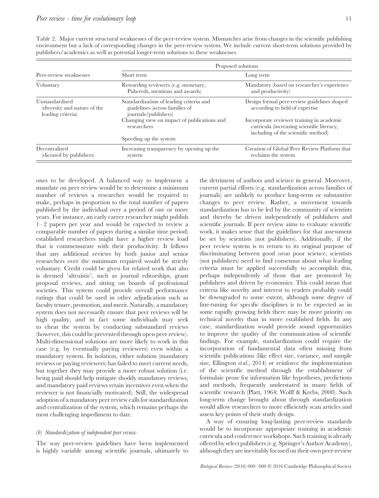| Proposed solutions                                                                                                                                                                                                    |
|-----------------------------------------------------------------------------------------------------------------------------------------------------------------------------------------------------------------------|
| environment but a lack of corresponding changes in the peer-review system. We include current short-term solutions provided by<br>publishers/academics as well as potential longer-term solutions to these weaknesses |
| Table 2. Major current structural weaknesses of the peer-review system. Mismatches arise from changes in the scientific publishing                                                                                    |

|                                                                     |                                                                                                   | Proposed solutions                                                                                                             |
|---------------------------------------------------------------------|---------------------------------------------------------------------------------------------------|--------------------------------------------------------------------------------------------------------------------------------|
| Peer-review weaknesses                                              | Short term                                                                                        | Long term                                                                                                                      |
| Voluntary                                                           | Rewarding reviewers (e.g. monetary,<br>Pubcreds, mentions and awards)                             | Mandatory (based on researcher's experience<br>and productivity)                                                               |
| Unstandardized<br>(diversity and nature of the<br>leading criteria) | Standardization of leading criteria and<br>guidelines (across families of<br>journals/publishers) | Design formal peer-review guidelines shaped<br>according to field of expertise                                                 |
|                                                                     | Changing view on impact of publications and<br>researchers                                        | Incorporate reviewer training in academic<br>curricula (increasing scientific literacy,<br>including of the scientific method) |
|                                                                     | Speeding up the system                                                                            |                                                                                                                                |
| Decentralized<br>(dictated by publishers)                           | Increasing transparency by opening up the<br>system                                               | Creation of Global Peer Review Platform that<br>reclaims the system                                                            |

ones to be developed. A balanced way to implement a mandate on peer review would be to determine a minimum number of reviews a researcher would be required to make, perhaps in proportion to the total number of papers published by the individual over a period of one or more years. For instance, an early career researcher might publish 1–2 papers per year and would be expected to review a comparable number of papers during a similar time period; established researchers might have a higher review load that is commensurate with their productivity. It follows that any additional reviews by both junior and senior researchers over the minimum required would be strictly voluntary. Credit could be given for related work that also is deemed 'altruistic', such as journal editorships, grant proposal reviews, and sitting on boards of professional societies. This system could provide overall performance ratings that could be used in other adjudication such as faculty tenure, promotion, and merit. Naturally, a mandatory system does not necessarily ensure that peer reviews will be high quality, and in fact some individuals may seek to cheat the system by conducting substandard reviews (however, this could be prevented through open peer review). Multi-dimensional solutions are more likely to work in this case (e.g. by eventually paying reviewers) even within a mandatory system. In isolation, either solution (mandatory reviews or paying reviewers) has failed to meet current needs, but together they may provide a more robust solution (i.e. being paid should help mitigate shoddy mandatory reviews, and mandatory paid reviews retain incentives even when the reviewer is not financially motivated). Still, the widespread adoption of a mandatory peer review calls for standardization and centralization of the system, which remains perhaps the most challenging impediment to date.

#### (*b*) *Standardization of independent peer review*

The way peer-review guidelines have been implemented is highly variable among scientific journals, ultimately to

the detriment of authors and science in general. Moreover, current partial efforts (e.g. standardization across families of journals) are unlikely to produce long-term or substantive changes to peer review. Rather, a movement towards standardization has to be led by the community of scientists and thereby be driven independently of publishers and scientific journals. If peer review aims to evaluate scientific work, it makes sense that the guidelines for that assessment be set by scientists (not publishers). Additionally, if the peer review system is to return to its original purpose of discriminating between good *versus* poor science, scientists (not publishers) need to find consensus about what leading criteria must be applied successfully to accomplish this, perhaps independently of those that are promoted by publishers and driven by economics. This could mean that criteria like novelty and interest to readers probably could be downgraded to some extent, although some degree of fine-tuning for specific disciplines is to be expected as in some rapidly growing fields there may be more priority on technical novelty than in more established fields. In any case, standardization would provide sound opportunities to improve the quality of the communication of scientific findings. For example, standardization could require the incorporation of fundamental data often missing from scientific publications (like effect size, variance, and sample size, Ellington *et al.,* 2014) or reinforce the implementation of the scientific method through the establishment of formulaic prose for information like hypotheses, predictions and methods, frequently understated in many fields of scientific research (Platt, 1964; Wolff & Krebs, 2008). Such long-term change brought about through standardization would allow researchers to more efficiently scan articles and assess key points of their study design.

A way of ensuring long-lasting peer-review standards would be to incorporate appropriate training in academic curricula and conference workshops. Such training is already offered by select publishers (e.g. Springer's Author Academy), although they are inevitably focused on their own peer-review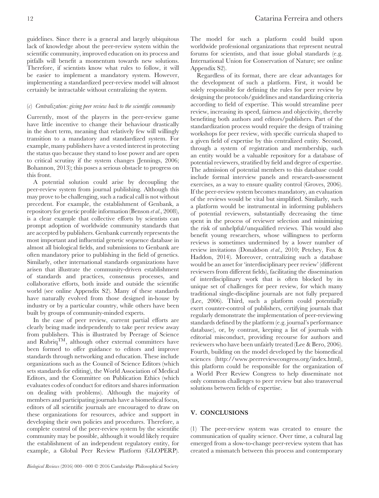#### (*c*) *Centralization: giving peer review back to the scientific community*

Currently, most of the players in the peer-review game have little incentive to change their behaviour drastically in the short term, meaning that relatively few will willingly transition to a mandatory and standardized system. For example, many publishers have a vested interest in protecting the status quo because they stand to lose power and are open to critical scrutiny if the system changes (Jennings, 2006; Bohannon, 2013); this poses a serious obstacle to progress on this front.

A potential solution could arise by decoupling the peer-review system from journal publishing. Although this may prove to be challenging, such a radical call is not without precedent. For example, the establishment of Genbank, a repository for genetic profile information (Benson *et al.,* 2008), is a clear example that collective efforts by scientists can prompt adoption of worldwide community standards that are accepted by publishers. Genbank currently represents the most important and influential genetic sequence database in almost all biological fields, and submissions to Genbank are often mandatory prior to publishing in the field of genetics. Similarly, other international standards organizations have arisen that illustrate the community-driven establishment of standards and practices, consensus processes, and collaborative efforts, both inside and outside the scientific world (see online Appendix S2). Many of these standards have naturally evolved from those designed in-house by industry or by a particular country, while others have been built by groups of community-minded experts.

In the case of peer review, current partial efforts are clearly being made independently to take peer review away from publishers. This is illustrated by Peerage of Science and RubriqTM, although other external committees have been formed to offer guidance to editors and improve standards through networking and education. These include organizations such as the Council of Science Editors (which sets standards for editing), the World Association of Medical Editors, and the Committee on Publication Ethics (which evaluates codes of conduct for editors and shares information on dealing with problems). Although the majority of members and participating journals have a biomedical focus, editors of all scientific journals are encouraged to draw on these organizations for resources, advice and support in developing their own policies and procedures. Therefore, a complete control of the peer-review system by the scientific community may be possible, although it would likely require the establishment of an independent regulatory entity, for example, a Global Peer Review Platform (GLOPERP).

The model for such a platform could build upon worldwide professional organizations that represent neutral forums for scientists, and that issue global standards (e.g. International Union for Conservation of Nature; see online Appendix S2).

Regardless of its format, there are clear advantages for the development of such a platform. First, it would be solely responsible for defining the rules for peer review by designing the protocols/guidelines and standardizing criteria according to field of expertise. This would streamline peer review, increasing its speed, fairness and objectivity, thereby benefiting both authors and editors/publishers. Part of the standardization process would require the design of training workshops for peer review, with specific curricula shaped to a given field of expertise by this centralized entity. Second, through a system of registration and membership, such an entity would be a valuable repository for a database of potential reviewers, stratified by field and degree of expertise. The admission of potential members to this database could include formal interview panels and research-assessment exercises, as a way to ensure quality control (Groves, 2006). If the peer-review system becomes mandatory, an evaluation of the reviews would be vital but simplified. Similarly, such a platform would be instrumental in informing publishers of potential reviewers, substantially decreasing the time spent in the process of reviewer selection and minimizing the risk of unhelpful/unqualified reviews. This would also benefit young researchers, whose willingness to perform reviews is sometimes undermined by a lower number of review invitations (Donaldson *et al.,* 2010; Petchey, Fox & Haddon, 2014). Moreover, centralizing such a database would be an asset for 'interdisciplinary peer review' (different reviewers from different fields), facilitating the dissemination of interdisciplinary work that is often blocked by its unique set of challenges for peer review, for which many traditional single-discipline journals are not fully prepared (Lee, 2006). Third, such a platform could potentially exert counter-control of publishers, certifying journals that regularly demonstrate the implementation of peer-reviewing standards defined by the platform (e.g. journal's performance database), or, by contrast, keeping a list of journals with editorial misconduct, providing recourse for authors and reviewers who have been unfairly treated (Lee & Bero, 2006). Fourth, building on the model developed by the biomedical sciences (http://www.peerreviewcongress.org/index.html), this platform could be responsible for the organization of a World Peer Review Congress to help disseminate not only common challenges to peer review but also transversal solutions between fields of expertise.

# **V. CONCLUSIONS**

(1) The peer-review system was created to ensure the communication of quality science. Over time, a cultural lag emerged from a slow-to-change peer-review system that has created a mismatch between this process and contemporary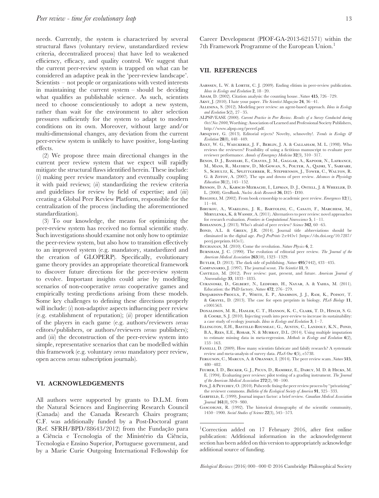needs. Currently, the system is characterized by several structural flaws (voluntary review, unstandardized review criteria, decentralized process) that have led to weakened efficiency, efficacy, and quality control. We suggest that the current peer-review system is trapped on what can be considered an adaptive peak in the 'peer-review landscape'. Scientists – not people or organizations with vested interests in maintaining the current system – should be deciding what qualifies as publishable science. As such, scientists need to choose conscientiously to adopt a new system, rather than wait for the environment to alter selection pressures sufficiently for the system to adapt to modern conditions on its own. Moreover, without large and/or multi-dimensional changes, any deviation from the current peer-review system is unlikely to have positive, long-lasting effects.

(2) We propose three main directional changes in the current peer review system that we expect will rapidly mitigate the structural flaws identified herein. These include: (*i*) making peer review mandatory and eventually coupling it with paid reviews; (*ii*) standardizing the review criteria and guidelines for review by field of expertise; and (*iii*) creating a Global Peer Review Platform, responsible for the centralization of the process (including the aforementioned standardization).

(3) To our knowledge, the means for optimizing the peer-review system has received no formal scientific study. Such investigations should examine not only how to optimize the peer-review system, but also how to transition effectively to an improved system (e.g. mandatory, standardized and the creation of GLOPERP). Specifically, evolutionary game theory provides an appropriate theoretical framework to discover future directions for the peer-review system to evolve. Important insights could arise by modelling scenarios of non-cooperative *versus* cooperative games and empirically testing predictions arising from these models. Some key challenges to defining these directions properly will include: (*i*) non-adaptive aspects influencing peer review (e.g. establishment of reputation); (*ii*) proper identification of the players in each game (e.g. authors/reviewers *versus* editors/publishers, or authors/reviewers *versus* publishers); and (*iii*) the deconstruction of the peer-review system into simple, representative scenarios that can be modelled within this framework (e.g. voluntary *versus* mandatory peer review, open access *versus* subscription journals).

## **VI. ACKNOWLEDGEMENTS**

All authors were supported by grants to D.L.M. from the Natural Sciences and Engineering Research Council (Canada) and the Canada Research Chairs program; C.F. was additionally funded by a Post-Doctoral grant (Ref. SFRH/BPD/88643/2012) from the Fundação para a Ciência e Tecnologia of the Ministério da Ciência, Tecnologia e Ensino Superior, Portuguese government, and by a Marie Curie Outgoing International Fellowship for

Career Development (PIOF-GA-2013-621571) within the 7th Framework Programme of the European Union.<sup>1</sup>

#### **VII. REFERENCES**

- AARSSEN, L. W. & LORTIE, C. J. (2009). Ending elitism in peer-review publication. *Ideas in Ecology and Evolution* **2**, 18–20.
- Adam, D. (2002). Citation analysis: the counting house. *Nature* **415**, 726–729.
- Akst, J. (2010). I hate your paper. *The Scientist Magazine* **24**, 36–41.
- Allesina, S. (2012). Modeling peer review: an agent-based approach. *Ideas in Ecology and Evolution* **5**(2), 27–35.
- ALPSP/EASE (2000). *Current Practice in Peer Review. Results of a Survey Conducted during Oct/Nov 2000*, Worthing: Association of Learned and Professional Society Publishers, http://www.alpsp.org/peeref.pdf.
- Arnqvist, G. (2013). Editorial rejects? Novelty, schnovelty!. *Trends in Ecology & Evolution* **28**(8), 448–449.
- BAXT, W. G., WAECKERLE, J. F., BERLIN, J. A. & CALLAHAM, M. L. (1998). Who reviews the reviewers? Feasibility of using a fictitious manuscript to evaluate peer reviewer performance. *Annals of Emergency Medicine* **32**(3), 310–317.
- Benos, D. J., Bashari, E., Chaves, J. M., Gaggar, A., Kapoor, N., Lafrance, M., Mans, R., Mayhew, D., McGowan, S., Polter, A., Qadri, Y., Sarfare, S., Schultz, K., Splittgerber, R., Stephenson, J., Tower, C., Walton, R. G. & ZOTOV, A. (2007). The ups and downs of peer review. *Advances in Physiology Education* **31**(2), 145–152.
- BENSON, D. A., KARSCH-MIZRACHI, I., LIPMAN, D. J., OSTELL, J. & WHEELER, D. L. (2008). GenBank. *Nucleic Acids Research* **36**, D25–D30.
- Biagioli, M. (2002). From book censorship to academic peer review. *Emergences* **12**(1), 11–44.
- Birukou, A., Wakeling, J. R., Bartolini, C., Casati, F., Marchese, M., Mirylenka, K. & Wassef, A. (2011). Alternatives to peer review: novel approaches for research evaluation. *Frontiers in Computational Neuroscience* **5**, 1–11.
- BOHANNON, J. (2013). Who's afraid of peer review? *Science* 342, 60-65.
- BOND, A.L. & GREEN, J.R. (2014). Journal title abbreviations should be eliminated in the digital age. *PeerJ PrePrints* 2:e445v1 (https://dx.doi.org/10.7287/ peerj.preprints.445v1).
- Buchanan, M. (2010). Come the revolution. *Nature Physics* **6**, 2.
- Burnham, J. C. (1990). The evolution of editorial peer review. *The Journal of the American Medical Association* **263**(10), 1323–1329.
- Butler, D. (2013). The dark side of publishing. *Nature* **495**(7442), 433–435.
- Campanario, J. (1997). The journal scout. *The Scientist* **11**, 9.
- Castillo, M. (2012). Peer review: past, present, and future. *American Journal of Neuroradiology* **33**, 1833–1835.
- Cyranoski, D., Gilbert, N., Ledford, H., Nayar, A. & Yahia, M. (2011). Education: the PhD factory. *Nature* **472**, 276–279.
- Desjardins-Proulx, P., White, E. P., Adamson, J. J., Ram, K., Poisot, T. & Gravel, D. (2013). The case for open preprints in biology. *PLoS Biology* **11**, e1001563.
- Donaldson, M. R., Hasler, C. T., Hanson, K. C., Clark, T. D., Hinch, S. G. & Cooke, S. J. (2010). Injecting youth into peer-review to increase its sustainability: a case study of ecology journals. *Ideas in Ecology and Evolution* **3**, 1–7.
- Ellington, E.H., Bastille-Rousseau, G., Austin, C., Landolt, K.N., Pond, B.A., REES, E.E., ROBAR, N. & MURRAY, D.L. (2014). Using multiple imputation to estimate missing data in meta-regression. *Methods in Ecology and Evolution* **6**(2), 153–163.
- FANELLI, D. (2009). How many scientists fabricate and falsify research? A systematic review and meta-analysis of survey data. *PLoS One* **4**(5), e5738.
- Ferguson, C., Marcus, A. & Oransky, I. (2014). The peer review scam. *Nature* **515**, 480–482.
- Feurer, I. D., Becker, G. J., Picus, D., Ramirez, E., Darcy, M. D. & Hicks, M. E. (1994). Evaluating peer reviews: pilot testing of a grading instrument. *The Journal of the American Medical Association* **272**(2), 98–100.
- FOX, J. & PETCHEY, O. (2010). Pubcreds: fixing the peer review process by "privatizing' the reviewer commons. *Bulletin of the Ecological Society of America* **91**, 325–333.
- GARFIELD, E. (1999). Journal impact factor: a brief review. *Canadian Medical Association Journal* **161**(8), 979–980.
- Gascoigne, R. (1992). The historical demography of the scientific community, 1450–1900. *Social Studies of Science* **22**(3), 545–573.

1Correction added on 17 February 2016, after first online publication: Additional information in the acknowledgement section has been added on this version to appropriately acknowledge additional source of funding.